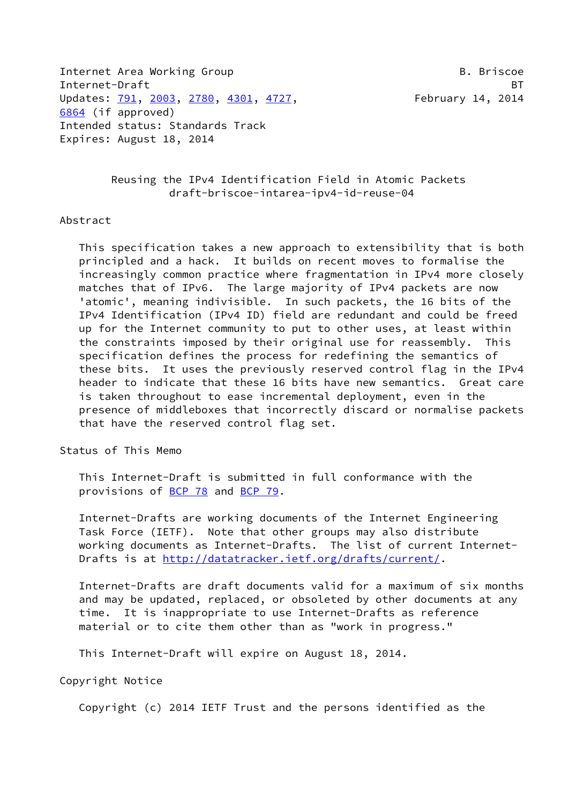Internet Area Working Group **B. Briscoe** B. Briscoe Internet-Draft BT Updates: [791](https://datatracker.ietf.org/doc/pdf/rfc791), [2003,](https://datatracker.ietf.org/doc/pdf/rfc2003) [2780](https://datatracker.ietf.org/doc/pdf/rfc2780), [4301,](https://datatracker.ietf.org/doc/pdf/rfc4301) [4727](https://datatracker.ietf.org/doc/pdf/rfc4727), February 14, 2014 [6864](https://datatracker.ietf.org/doc/pdf/rfc6864) (if approved) Intended status: Standards Track Expires: August 18, 2014

### Reusing the IPv4 Identification Field in Atomic Packets draft-briscoe-intarea-ipv4-id-reuse-04

#### Abstract

 This specification takes a new approach to extensibility that is both principled and a hack. It builds on recent moves to formalise the increasingly common practice where fragmentation in IPv4 more closely matches that of IPv6. The large majority of IPv4 packets are now 'atomic', meaning indivisible. In such packets, the 16 bits of the IPv4 Identification (IPv4 ID) field are redundant and could be freed up for the Internet community to put to other uses, at least within the constraints imposed by their original use for reassembly. This specification defines the process for redefining the semantics of these bits. It uses the previously reserved control flag in the IPv4 header to indicate that these 16 bits have new semantics. Great care is taken throughout to ease incremental deployment, even in the presence of middleboxes that incorrectly discard or normalise packets that have the reserved control flag set.

Status of This Memo

 This Internet-Draft is submitted in full conformance with the provisions of [BCP 78](https://datatracker.ietf.org/doc/pdf/bcp78) and [BCP 79](https://datatracker.ietf.org/doc/pdf/bcp79).

 Internet-Drafts are working documents of the Internet Engineering Task Force (IETF). Note that other groups may also distribute working documents as Internet-Drafts. The list of current Internet Drafts is at<http://datatracker.ietf.org/drafts/current/>.

 Internet-Drafts are draft documents valid for a maximum of six months and may be updated, replaced, or obsoleted by other documents at any time. It is inappropriate to use Internet-Drafts as reference material or to cite them other than as "work in progress."

This Internet-Draft will expire on August 18, 2014.

Copyright Notice

Copyright (c) 2014 IETF Trust and the persons identified as the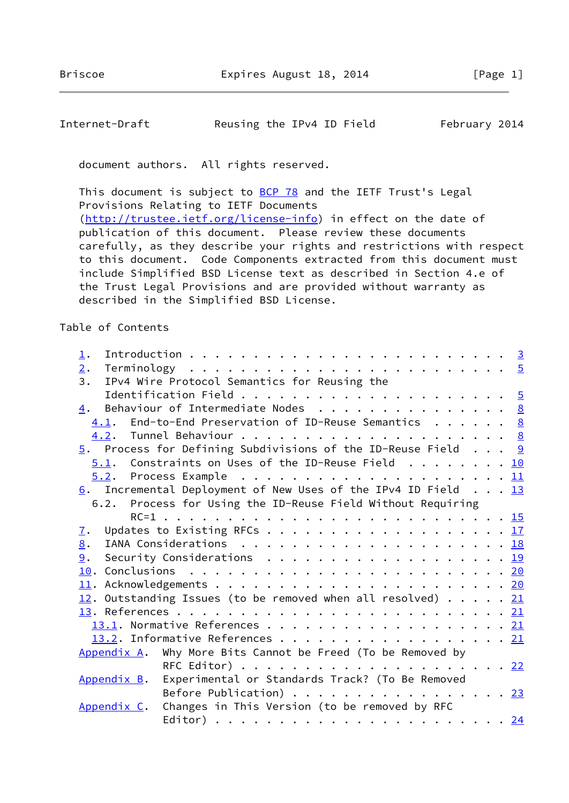# Internet-Draft Reusing the IPv4 ID Field February 2014

document authors. All rights reserved.

This document is subject to [BCP 78](https://datatracker.ietf.org/doc/pdf/bcp78) and the IETF Trust's Legal Provisions Relating to IETF Documents [\(http://trustee.ietf.org/license-info](http://trustee.ietf.org/license-info)) in effect on the date of publication of this document. Please review these documents carefully, as they describe your rights and restrictions with respect to this document. Code Components extracted from this document must include Simplified BSD License text as described in Section 4.e of the Trust Legal Provisions and are provided without warranty as described in the Simplified BSD License.

Table of Contents

| 1.                                                                                                 |  |
|----------------------------------------------------------------------------------------------------|--|
| 2.                                                                                                 |  |
| IPv4 Wire Protocol Semantics for Reusing the<br>3.                                                 |  |
|                                                                                                    |  |
| $\underline{4}$ . Behaviour of Intermediate Nodes 8                                                |  |
| $4.1$ . End-to-End Preservation of ID-Reuse Semantics 8                                            |  |
|                                                                                                    |  |
| $\frac{5}{2}$ . Process for Defining Subdivisions of the ID-Reuse Field 9                          |  |
| $5.1$ . Constraints on Uses of the ID-Reuse Field 10                                               |  |
|                                                                                                    |  |
| $6.$ Incremental Deployment of New Uses of the IPv4 ID Field 13                                    |  |
| 6.2. Process for Using the ID-Reuse Field Without Requiring                                        |  |
|                                                                                                    |  |
| 7.                                                                                                 |  |
| 8.                                                                                                 |  |
| Security Considerations <u>19</u><br>9.                                                            |  |
|                                                                                                    |  |
|                                                                                                    |  |
| 12. Outstanding Issues (to be removed when all resolved) $\cdots$ $\cdots$ $\frac{21}{2}$          |  |
|                                                                                                    |  |
|                                                                                                    |  |
| 13.2. Informative References 21                                                                    |  |
| Appendix A. Why More Bits Cannot be Freed (To be Removed by                                        |  |
|                                                                                                    |  |
| Appendix B. Experimental or Standards Track? (To Be Removed                                        |  |
| Before Publication) $\cdots$ $\cdots$ $\cdots$ $\cdots$ $\cdots$ $\cdots$ $\cdots$ $\frac{23}{23}$ |  |
| Changes in This Version (to be removed by RFC<br>Appendix C.                                       |  |
|                                                                                                    |  |
|                                                                                                    |  |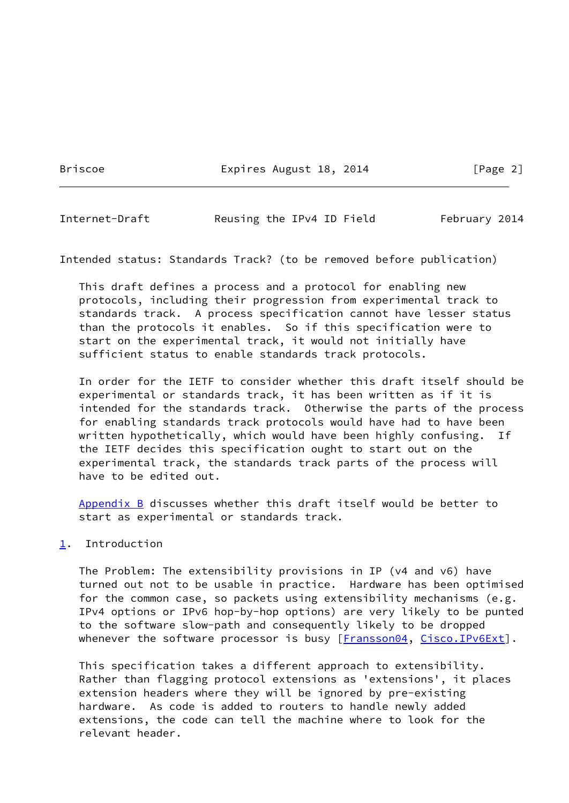Briscoe **Expires August 18, 2014** [Page 2]

<span id="page-2-1"></span>Internet-Draft Reusing the IPv4 ID Field February 2014

Intended status: Standards Track? (to be removed before publication)

 This draft defines a process and a protocol for enabling new protocols, including their progression from experimental track to standards track. A process specification cannot have lesser status than the protocols it enables. So if this specification were to start on the experimental track, it would not initially have sufficient status to enable standards track protocols.

 In order for the IETF to consider whether this draft itself should be experimental or standards track, it has been written as if it is intended for the standards track. Otherwise the parts of the process for enabling standards track protocols would have had to have been written hypothetically, which would have been highly confusing. If the IETF decides this specification ought to start out on the experimental track, the standards track parts of the process will have to be edited out.

[Appendix B](#page-25-0) discusses whether this draft itself would be better to start as experimental or standards track.

## <span id="page-2-0"></span>[1](#page-2-0). Introduction

 The Problem: The extensibility provisions in IP (v4 and v6) have turned out not to be usable in practice. Hardware has been optimised for the common case, so packets using extensibility mechanisms (e.g. IPv4 options or IPv6 hop-by-hop options) are very likely to be punted to the software slow-path and consequently likely to be dropped whenever the software processor is busy [\[Fransson04,](#page-23-2) [Cisco.IPv6Ext](#page-23-3)].

 This specification takes a different approach to extensibility. Rather than flagging protocol extensions as 'extensions', it places extension headers where they will be ignored by pre-existing hardware. As code is added to routers to handle newly added extensions, the code can tell the machine where to look for the relevant header.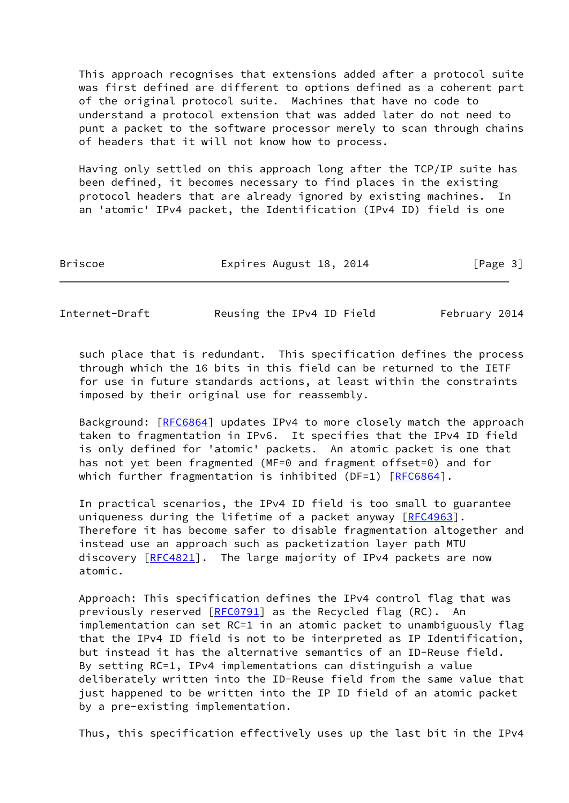This approach recognises that extensions added after a protocol suite was first defined are different to options defined as a coherent part of the original protocol suite. Machines that have no code to understand a protocol extension that was added later do not need to punt a packet to the software processor merely to scan through chains of headers that it will not know how to process.

 Having only settled on this approach long after the TCP/IP suite has been defined, it becomes necessary to find places in the existing protocol headers that are already ignored by existing machines. In an 'atomic' IPv4 packet, the Identification (IPv4 ID) field is one

| <b>Briscoe</b> | Expires August 18, 2014 | [Page 3] |
|----------------|-------------------------|----------|
|                |                         |          |

Internet-Draft Reusing the IPv4 ID Field February 2014

 such place that is redundant. This specification defines the process through which the 16 bits in this field can be returned to the IETF for use in future standards actions, at least within the constraints imposed by their original use for reassembly.

 Background: [\[RFC6864](https://datatracker.ietf.org/doc/pdf/rfc6864)] updates IPv4 to more closely match the approach taken to fragmentation in IPv6. It specifies that the IPv4 ID field is only defined for 'atomic' packets. An atomic packet is one that has not yet been fragmented (MF=0 and fragment offset=0) and for which further fragmentation is inhibited (DF=1)  $[REC6864]$ .

 In practical scenarios, the IPv4 ID field is too small to guarantee uniqueness during the lifetime of a packet anyway [[RFC4963](https://datatracker.ietf.org/doc/pdf/rfc4963)]. Therefore it has become safer to disable fragmentation altogether and instead use an approach such as packetization layer path MTU discovery [[RFC4821](https://datatracker.ietf.org/doc/pdf/rfc4821)]. The large majority of IPv4 packets are now atomic.

 Approach: This specification defines the IPv4 control flag that was previously reserved [\[RFC0791](https://datatracker.ietf.org/doc/pdf/rfc0791)] as the Recycled flag (RC). An implementation can set RC=1 in an atomic packet to unambiguously flag that the IPv4 ID field is not to be interpreted as IP Identification, but instead it has the alternative semantics of an ID-Reuse field. By setting RC=1, IPv4 implementations can distinguish a value deliberately written into the ID-Reuse field from the same value that just happened to be written into the IP ID field of an atomic packet by a pre-existing implementation.

Thus, this specification effectively uses up the last bit in the IPv4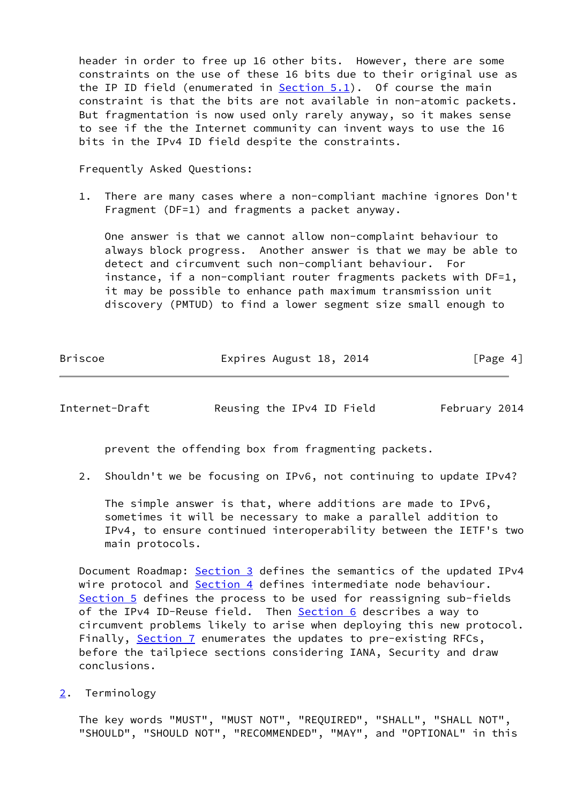header in order to free up 16 other bits. However, there are some constraints on the use of these 16 bits due to their original use as the IP ID field (enumerated in [Section 5.1](#page-10-0)). Of course the main constraint is that the bits are not available in non-atomic packets. But fragmentation is now used only rarely anyway, so it makes sense to see if the the Internet community can invent ways to use the 16 bits in the IPv4 ID field despite the constraints.

Frequently Asked Questions:

 1. There are many cases where a non-compliant machine ignores Don't Fragment (DF=1) and fragments a packet anyway.

 One answer is that we cannot allow non-complaint behaviour to always block progress. Another answer is that we may be able to detect and circumvent such non-compliant behaviour. For instance, if a non-compliant router fragments packets with DF=1, it may be possible to enhance path maximum transmission unit discovery (PMTUD) to find a lower segment size small enough to

| <b>Briscoe</b> | Expires August 18, 2014 | [Page 4] |
|----------------|-------------------------|----------|
|                |                         |          |

<span id="page-4-1"></span>Internet-Draft Reusing the IPv4 ID Field February 2014

prevent the offending box from fragmenting packets.

2. Shouldn't we be focusing on IPv6, not continuing to update IPv4?

 The simple answer is that, where additions are made to IPv6, sometimes it will be necessary to make a parallel addition to IPv4, to ensure continued interoperability between the IETF's two main protocols.

Document Roadmap: [Section 3](#page-5-0) defines the semantics of the updated IPv4 wire protocol and [Section 4](#page-7-0) defines intermediate node behaviour. [Section 5](#page-9-0) defines the process to be used for reassigning sub-fields of the IPv4 ID-Reuse field. Then **Section 6** describes a way to circumvent problems likely to arise when deploying this new protocol. Finally, [Section 7](#page-18-0) enumerates the updates to pre-existing RFCs, before the tailpiece sections considering IANA, Security and draw conclusions.

<span id="page-4-0"></span>[2](#page-4-0). Terminology

 The key words "MUST", "MUST NOT", "REQUIRED", "SHALL", "SHALL NOT", "SHOULD", "SHOULD NOT", "RECOMMENDED", "MAY", and "OPTIONAL" in this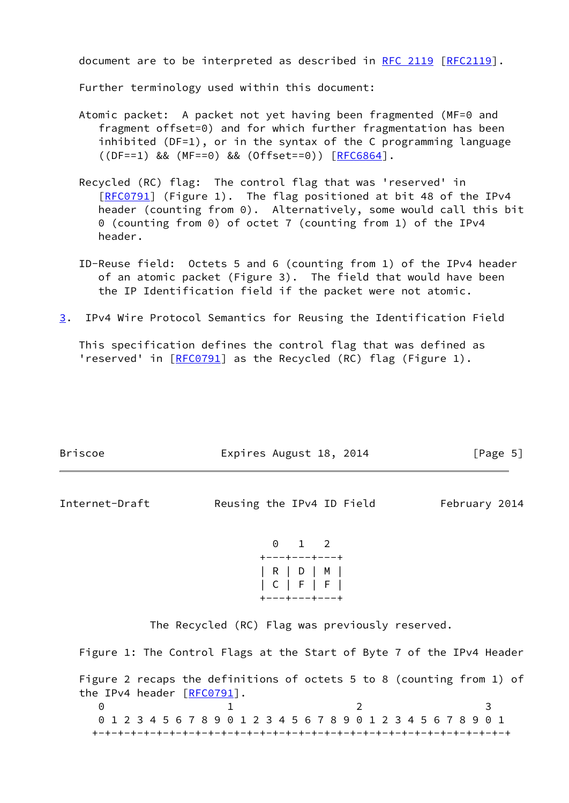document are to be interpreted as described in [RFC 2119 \[RFC2119](https://datatracker.ietf.org/doc/pdf/rfc2119)].

Further terminology used within this document:

- Atomic packet: A packet not yet having been fragmented (MF=0 and fragment offset=0) and for which further fragmentation has been inhibited (DF=1), or in the syntax of the C programming language ((DF==1) && (MF==0) && (Offset==0)) [\[RFC6864](https://datatracker.ietf.org/doc/pdf/rfc6864)].
- Recycled (RC) flag: The control flag that was 'reserved' in [[RFC0791\]](https://datatracker.ietf.org/doc/pdf/rfc0791) (Figure 1). The flag positioned at bit 48 of the IPv4 header (counting from 0). Alternatively, some would call this bit 0 (counting from 0) of octet 7 (counting from 1) of the IPv4 header.
- ID-Reuse field: Octets 5 and 6 (counting from 1) of the IPv4 header of an atomic packet (Figure 3). The field that would have been the IP Identification field if the packet were not atomic.
- <span id="page-5-0"></span>[3](#page-5-0). IPv4 Wire Protocol Semantics for Reusing the Identification Field

 This specification defines the control flag that was defined as 'reserved' in [[RFC0791](https://datatracker.ietf.org/doc/pdf/rfc0791)] as the Recycled (RC) flag (Figure 1).

| <b>Briscoe</b> | Expires August 18, 2014   | [Page 5]      |
|----------------|---------------------------|---------------|
| Internet-Draft | Reusing the IPv4 ID Field | February 2014 |
|                | $0 \t 1 \t 2$             |               |



The Recycled (RC) Flag was previously reserved.

Figure 1: The Control Flags at the Start of Byte 7 of the IPv4 Header

 Figure 2 recaps the definitions of octets 5 to 8 (counting from 1) of the IPv4 header [\[RFC0791](https://datatracker.ietf.org/doc/pdf/rfc0791)]. 0 1 2 3 0 1 2 3 4 5 6 7 8 9 0 1 2 3 4 5 6 7 8 9 0 1 2 3 4 5 6 7 8 9 0 1 +-+-+-+-+-+-+-+-+-+-+-+-+-+-+-+-+-+-+-+-+-+-+-+-+-+-+-+-+-+-+-+-+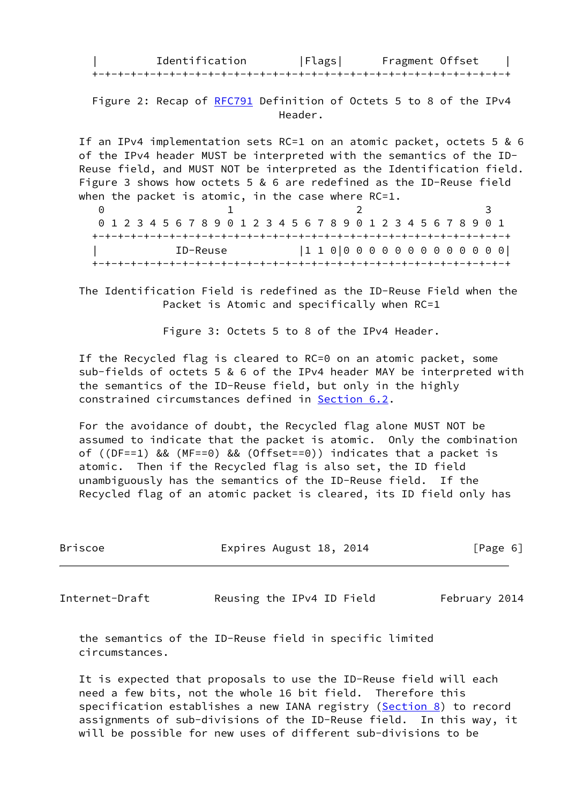Identification | Flags| Fragment Offset | +-+-+-+-+-+-+-+-+-+-+-+-+-+-+-+-+-+-+-+-+-+-+-+-+-+-+-+-+-+-+-+-+

Figure 2: Recap of [RFC791](https://datatracker.ietf.org/doc/pdf/rfc791) Definition of Octets 5 to 8 of the IPv4 Header.

 If an IPv4 implementation sets RC=1 on an atomic packet, octets 5 & 6 of the IPv4 header MUST be interpreted with the semantics of the ID- Reuse field, and MUST NOT be interpreted as the Identification field. Figure 3 shows how octets 5 & 6 are redefined as the ID-Reuse field when the packet is atomic, in the case where RC=1.

0 1 2 3 0 1 2 3 4 5 6 7 8 9 0 1 2 3 4 5 6 7 8 9 0 1 2 3 4 5 6 7 8 9 0 1 +-+-+-+-+-+-+-+-+-+-+-+-+-+-+-+-+-+-+-+-+-+-+-+-+-+-+-+-+-+-+-+-+ | ID-Reuse |1 1 0|0 0 0 0 0 0 0 0 0 0 0 0 0| +-+-+-+-+-+-+-+-+-+-+-+-+-+-+-+-+-+-+-+-+-+-+-+-+-+-+-+-+-+-+-+-+

 The Identification Field is redefined as the ID-Reuse Field when the Packet is Atomic and specifically when RC=1

Figure 3: Octets 5 to 8 of the IPv4 Header.

 If the Recycled flag is cleared to RC=0 on an atomic packet, some sub-fields of octets 5 & 6 of the IPv4 header MAY be interpreted with the semantics of the ID-Reuse field, but only in the highly constrained circumstances defined in [Section 6.2](#page-16-0).

 For the avoidance of doubt, the Recycled flag alone MUST NOT be assumed to indicate that the packet is atomic. Only the combination of ((DF==1) && (MF==0) && (Offset==0)) indicates that a packet is atomic. Then if the Recycled flag is also set, the ID field unambiguously has the semantics of the ID-Reuse field. If the Recycled flag of an atomic packet is cleared, its ID field only has

| Briscoe | Expires August 18, 2014 | [Page 6] |
|---------|-------------------------|----------|
|         |                         |          |

Internet-Draft Reusing the IPv4 ID Field February 2014

 the semantics of the ID-Reuse field in specific limited circumstances.

 It is expected that proposals to use the ID-Reuse field will each need a few bits, not the whole 16 bit field. Therefore this specification establishes a new IANA registry ([Section 8\)](#page-19-0) to record assignments of sub-divisions of the ID-Reuse field. In this way, it will be possible for new uses of different sub-divisions to be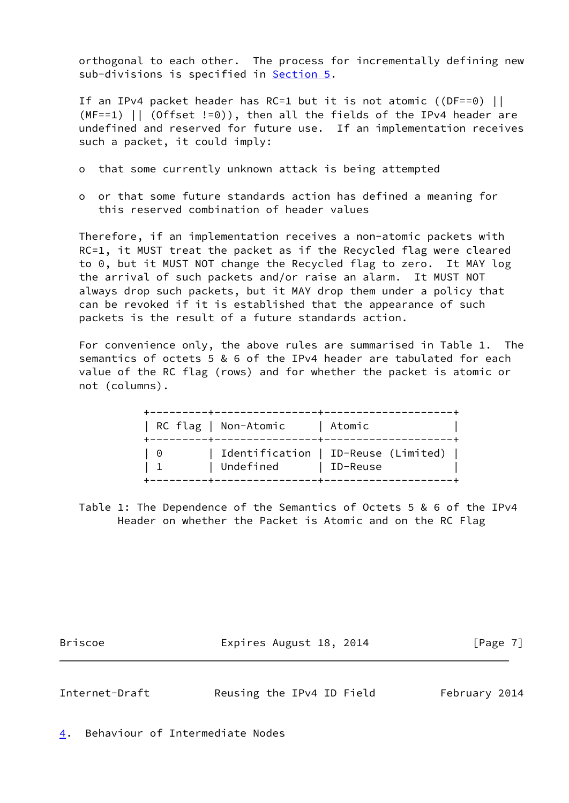orthogonal to each other. The process for incrementally defining new sub-divisions is specified in [Section 5.](#page-9-0)

 If an IPv4 packet header has RC=1 but it is not atomic ((DF==0) ||  $(MF==1)$  || (Offset !=0)), then all the fields of the IPv4 header are undefined and reserved for future use. If an implementation receives such a packet, it could imply:

- o that some currently unknown attack is being attempted
- o or that some future standards action has defined a meaning for this reserved combination of header values

 Therefore, if an implementation receives a non-atomic packets with RC=1, it MUST treat the packet as if the Recycled flag were cleared to 0, but it MUST NOT change the Recycled flag to zero. It MAY log the arrival of such packets and/or raise an alarm. It MUST NOT always drop such packets, but it MAY drop them under a policy that can be revoked if it is established that the appearance of such packets is the result of a future standards action.

 For convenience only, the above rules are summarised in Table 1. The semantics of octets 5 & 6 of the IPv4 header are tabulated for each value of the RC flag (rows) and for whether the packet is atomic or not (columns).

|     | RC flag   Non-Atomic | Atomic                                                  |
|-----|----------------------|---------------------------------------------------------|
| - 0 | Undefined            | Identification   ID-Reuse (Limited) $\vert$<br>ID-Reuse |

 Table 1: The Dependence of the Semantics of Octets 5 & 6 of the IPv4 Header on whether the Packet is Atomic and on the RC Flag

Briscoe **Expires August 18, 2014** [Page 7]

<span id="page-7-1"></span>Internet-Draft Reusing the IPv4 ID Field February 2014

<span id="page-7-0"></span>[4](#page-7-0). Behaviour of Intermediate Nodes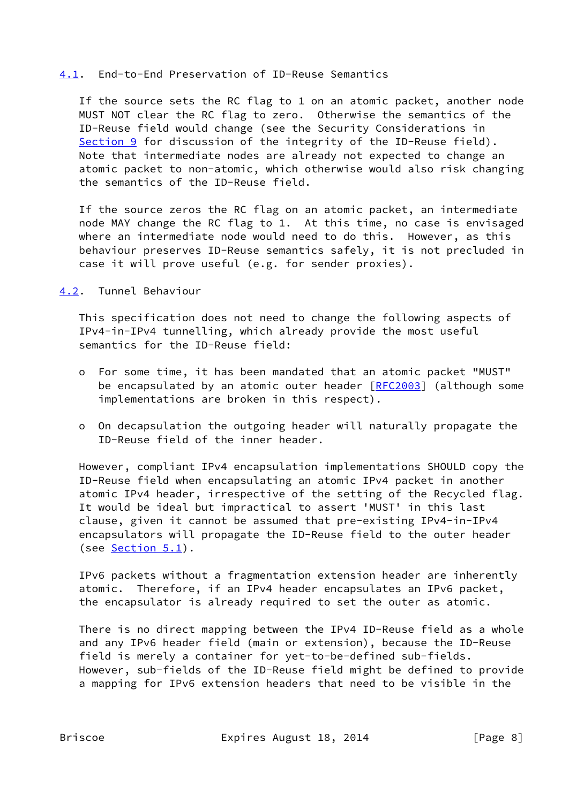### <span id="page-8-0"></span>[4.1](#page-8-0). End-to-End Preservation of ID-Reuse Semantics

 If the source sets the RC flag to 1 on an atomic packet, another node MUST NOT clear the RC flag to zero. Otherwise the semantics of the ID-Reuse field would change (see the Security Considerations in [Section 9](#page-20-0) for discussion of the integrity of the ID-Reuse field). Note that intermediate nodes are already not expected to change an atomic packet to non-atomic, which otherwise would also risk changing the semantics of the ID-Reuse field.

 If the source zeros the RC flag on an atomic packet, an intermediate node MAY change the RC flag to 1. At this time, no case is envisaged where an intermediate node would need to do this. However, as this behaviour preserves ID-Reuse semantics safely, it is not precluded in case it will prove useful (e.g. for sender proxies).

<span id="page-8-1"></span>[4.2](#page-8-1). Tunnel Behaviour

 This specification does not need to change the following aspects of IPv4-in-IPv4 tunnelling, which already provide the most useful semantics for the ID-Reuse field:

- o For some time, it has been mandated that an atomic packet "MUST" be encapsulated by an atomic outer header [\[RFC2003](https://datatracker.ietf.org/doc/pdf/rfc2003)] (although some implementations are broken in this respect).
- o On decapsulation the outgoing header will naturally propagate the ID-Reuse field of the inner header.

 However, compliant IPv4 encapsulation implementations SHOULD copy the ID-Reuse field when encapsulating an atomic IPv4 packet in another atomic IPv4 header, irrespective of the setting of the Recycled flag. It would be ideal but impractical to assert 'MUST' in this last clause, given it cannot be assumed that pre-existing IPv4-in-IPv4 encapsulators will propagate the ID-Reuse field to the outer header (see  $Section 5.1$ ).

 IPv6 packets without a fragmentation extension header are inherently atomic. Therefore, if an IPv4 header encapsulates an IPv6 packet, the encapsulator is already required to set the outer as atomic.

 There is no direct mapping between the IPv4 ID-Reuse field as a whole and any IPv6 header field (main or extension), because the ID-Reuse field is merely a container for yet-to-be-defined sub-fields. However, sub-fields of the ID-Reuse field might be defined to provide a mapping for IPv6 extension headers that need to be visible in the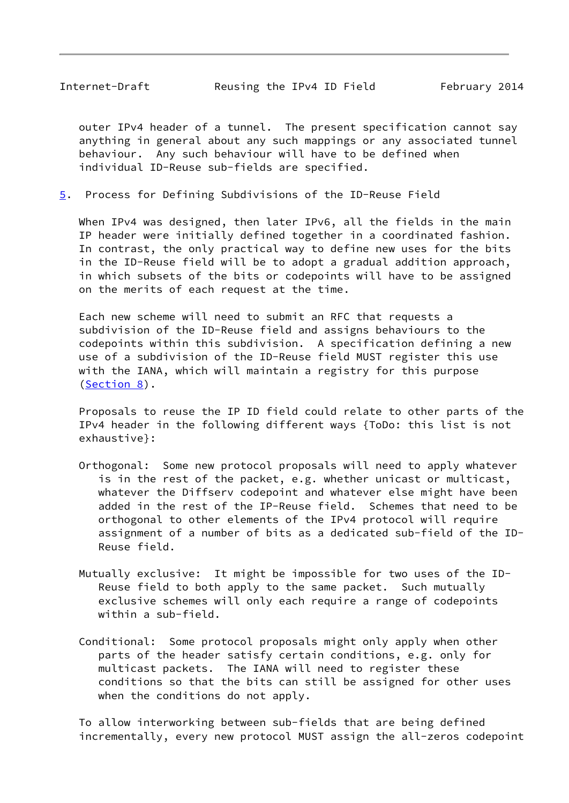<span id="page-9-1"></span> outer IPv4 header of a tunnel. The present specification cannot say anything in general about any such mappings or any associated tunnel behaviour. Any such behaviour will have to be defined when individual ID-Reuse sub-fields are specified.

<span id="page-9-0"></span>[5](#page-9-0). Process for Defining Subdivisions of the ID-Reuse Field

 When IPv4 was designed, then later IPv6, all the fields in the main IP header were initially defined together in a coordinated fashion. In contrast, the only practical way to define new uses for the bits in the ID-Reuse field will be to adopt a gradual addition approach, in which subsets of the bits or codepoints will have to be assigned on the merits of each request at the time.

 Each new scheme will need to submit an RFC that requests a subdivision of the ID-Reuse field and assigns behaviours to the codepoints within this subdivision. A specification defining a new use of a subdivision of the ID-Reuse field MUST register this use with the IANA, which will maintain a registry for this purpose [\(Section 8](#page-19-0)).

 Proposals to reuse the IP ID field could relate to other parts of the IPv4 header in the following different ways {ToDo: this list is not exhaustive}:

- Orthogonal: Some new protocol proposals will need to apply whatever is in the rest of the packet, e.g. whether unicast or multicast, whatever the Diffserv codepoint and whatever else might have been added in the rest of the IP-Reuse field. Schemes that need to be orthogonal to other elements of the IPv4 protocol will require assignment of a number of bits as a dedicated sub-field of the ID- Reuse field.
- Mutually exclusive: It might be impossible for two uses of the ID- Reuse field to both apply to the same packet. Such mutually exclusive schemes will only each require a range of codepoints within a sub-field.
- Conditional: Some protocol proposals might only apply when other parts of the header satisfy certain conditions, e.g. only for multicast packets. The IANA will need to register these conditions so that the bits can still be assigned for other uses when the conditions do not apply.

 To allow interworking between sub-fields that are being defined incrementally, every new protocol MUST assign the all-zeros codepoint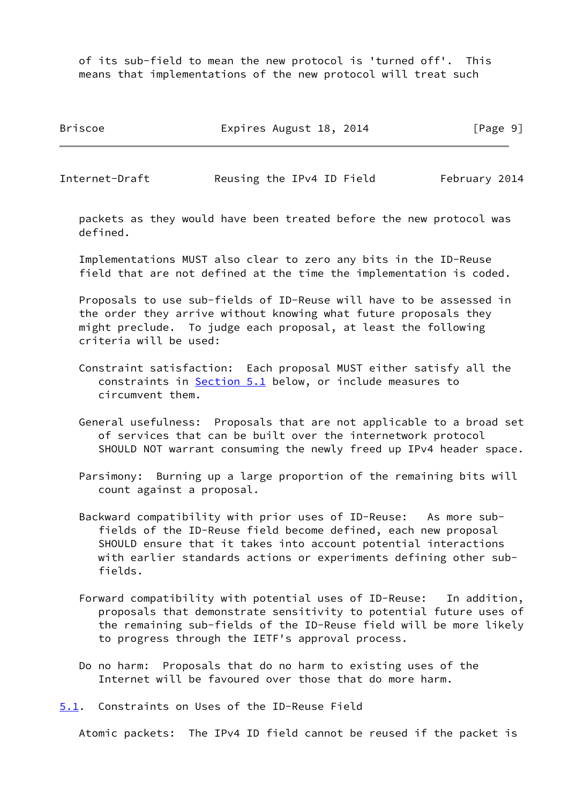of its sub-field to mean the new protocol is 'turned off'. This means that implementations of the new protocol will treat such

Briscoe **Expires August 18, 2014** [Page 9]

<span id="page-10-1"></span>Internet-Draft Reusing the IPv4 ID Field February 2014

 packets as they would have been treated before the new protocol was defined.

 Implementations MUST also clear to zero any bits in the ID-Reuse field that are not defined at the time the implementation is coded.

 Proposals to use sub-fields of ID-Reuse will have to be assessed in the order they arrive without knowing what future proposals they might preclude. To judge each proposal, at least the following criteria will be used:

- Constraint satisfaction: Each proposal MUST either satisfy all the constraints in [Section 5.1](#page-10-0) below, or include measures to circumvent them.
- General usefulness: Proposals that are not applicable to a broad set of services that can be built over the internetwork protocol SHOULD NOT warrant consuming the newly freed up IPv4 header space.
- Parsimony: Burning up a large proportion of the remaining bits will count against a proposal.
- Backward compatibility with prior uses of ID-Reuse: As more sub fields of the ID-Reuse field become defined, each new proposal SHOULD ensure that it takes into account potential interactions with earlier standards actions or experiments defining other sub fields.
- Forward compatibility with potential uses of ID-Reuse: In addition, proposals that demonstrate sensitivity to potential future uses of the remaining sub-fields of the ID-Reuse field will be more likely to progress through the IETF's approval process.
- Do no harm: Proposals that do no harm to existing uses of the Internet will be favoured over those that do more harm.

<span id="page-10-0"></span>[5.1](#page-10-0). Constraints on Uses of the ID-Reuse Field

Atomic packets: The IPv4 ID field cannot be reused if the packet is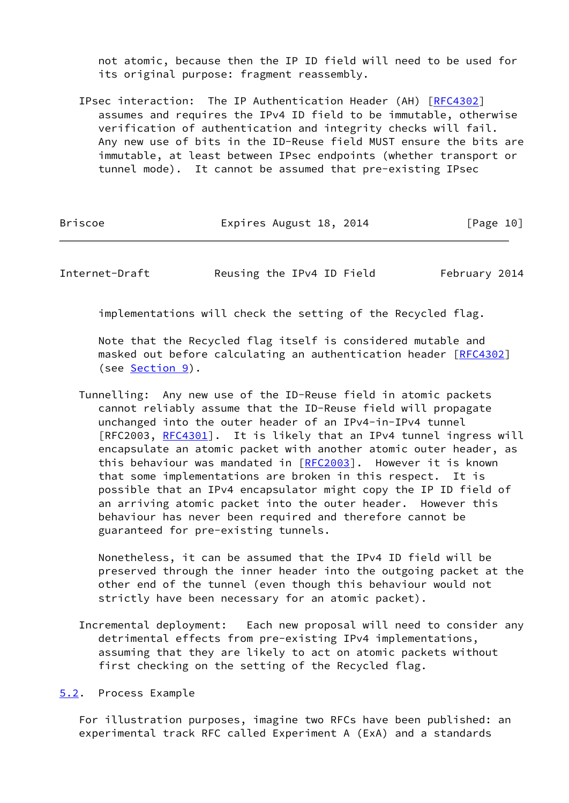not atomic, because then the IP ID field will need to be used for its original purpose: fragment reassembly.

 IPsec interaction: The IP Authentication Header (AH) [[RFC4302](https://datatracker.ietf.org/doc/pdf/rfc4302)] assumes and requires the IPv4 ID field to be immutable, otherwise verification of authentication and integrity checks will fail. Any new use of bits in the ID-Reuse field MUST ensure the bits are immutable, at least between IPsec endpoints (whether transport or tunnel mode). It cannot be assumed that pre-existing IPsec

| Briscoe | Expires August 18, 2014 | [Page 10] |
|---------|-------------------------|-----------|
|---------|-------------------------|-----------|

<span id="page-11-1"></span>Internet-Draft Reusing the IPv4 ID Field February 2014

implementations will check the setting of the Recycled flag.

 Note that the Recycled flag itself is considered mutable and masked out before calculating an authentication header [[RFC4302](https://datatracker.ietf.org/doc/pdf/rfc4302)] (see [Section 9](#page-20-0)).

 Tunnelling: Any new use of the ID-Reuse field in atomic packets cannot reliably assume that the ID-Reuse field will propagate unchanged into the outer header of an IPv4-in-IPv4 tunnel [RFC2003, [RFC4301](https://datatracker.ietf.org/doc/pdf/rfc4301)]. It is likely that an IPv4 tunnel ingress will encapsulate an atomic packet with another atomic outer header, as this behaviour was mandated in [[RFC2003](https://datatracker.ietf.org/doc/pdf/rfc2003)]. However it is known that some implementations are broken in this respect. It is possible that an IPv4 encapsulator might copy the IP ID field of an arriving atomic packet into the outer header. However this behaviour has never been required and therefore cannot be guaranteed for pre-existing tunnels.

 Nonetheless, it can be assumed that the IPv4 ID field will be preserved through the inner header into the outgoing packet at the other end of the tunnel (even though this behaviour would not strictly have been necessary for an atomic packet).

 Incremental deployment: Each new proposal will need to consider any detrimental effects from pre-existing IPv4 implementations, assuming that they are likely to act on atomic packets without first checking on the setting of the Recycled flag.

<span id="page-11-0"></span>[5.2](#page-11-0). Process Example

 For illustration purposes, imagine two RFCs have been published: an experimental track RFC called Experiment A (ExA) and a standards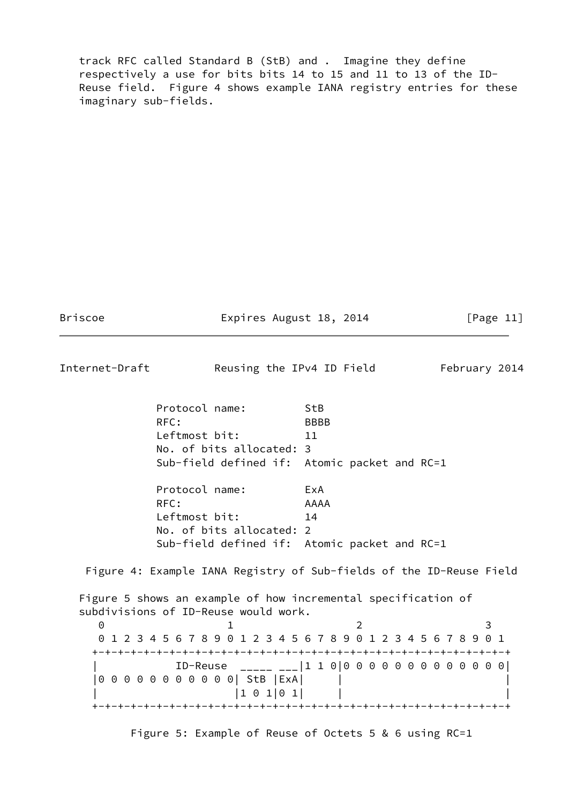track RFC called Standard B (StB) and . Imagine they define respectively a use for bits bits 14 to 15 and 11 to 13 of the ID- Reuse field. Figure 4 shows example IANA registry entries for these imaginary sub-fields.

Briscoe **Expires August 18, 2014** [Page 11]

| Internet-Draft |                                                                                                       | Reusing the IPv4 ID Field | February 2014 |
|----------------|-------------------------------------------------------------------------------------------------------|---------------------------|---------------|
|                |                                                                                                       |                           |               |
|                | Protocol name:                                                                                        | StB                       |               |
|                | RFC:                                                                                                  | <b>BBBB</b>               |               |
|                | Leftmost bit:                                                                                         | 11                        |               |
|                | No. of bits allocated: 3                                                                              |                           |               |
|                | Sub-field defined if: Atomic packet and RC=1                                                          |                           |               |
|                | Protocol name:                                                                                        | ExA                       |               |
|                | RFC:                                                                                                  | AAAA                      |               |
|                | Leftmost bit:                                                                                         | 14                        |               |
|                | No. of bits allocated: 2                                                                              |                           |               |
|                | Sub-field defined if: Atomic packet and RC=1                                                          |                           |               |
|                | Figure 4: Example IANA Registry of Sub-fields of the ID-Reuse Field                                   |                           |               |
|                | Figure 5 shows an example of how incremental specification of<br>subdivisions of ID-Reuse would work. |                           |               |
| $\Theta$       |                                                                                                       | 2                         | 3             |
|                | 0 1 2 3 4 5 6 7 8 9 0 1 2 3 4 5 6 7 8 9 0 1 2 3 4 5 6 7 8 9 0 1                                       |                           |               |
|                |                                                                                                       |                           |               |
|                |                                                                                                       |                           |               |
|                | 00000000000 StB   ExA                                                                                 |                           |               |
|                | $1 \t0 \t1 \t0 \t1$                                                                                   |                           |               |
|                |                                                                                                       |                           |               |

Figure 5: Example of Reuse of Octets 5 & 6 using RC=1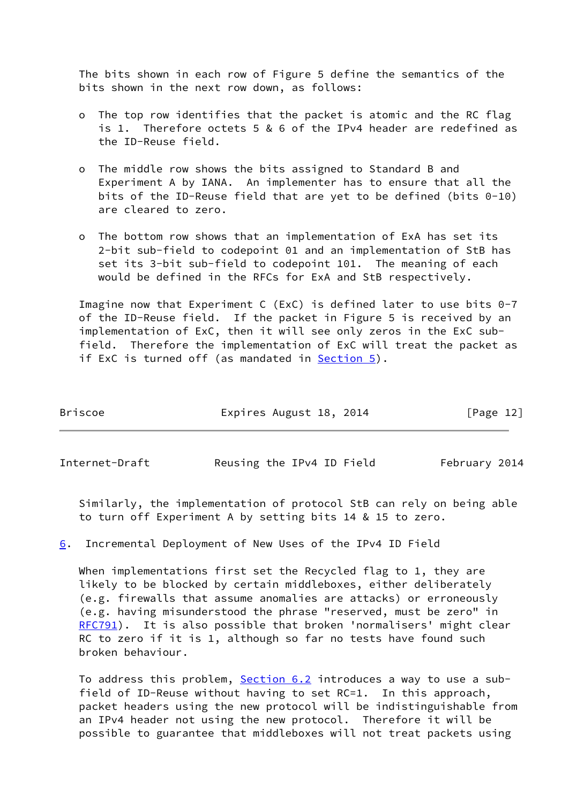The bits shown in each row of Figure 5 define the semantics of the bits shown in the next row down, as follows:

- o The top row identifies that the packet is atomic and the RC flag is 1. Therefore octets 5 & 6 of the IPv4 header are redefined as the ID-Reuse field.
- o The middle row shows the bits assigned to Standard B and Experiment A by IANA. An implementer has to ensure that all the bits of the ID-Reuse field that are yet to be defined (bits 0-10) are cleared to zero.
- o The bottom row shows that an implementation of ExA has set its 2-bit sub-field to codepoint 01 and an implementation of StB has set its 3-bit sub-field to codepoint 101. The meaning of each would be defined in the RFCs for ExA and StB respectively.

 Imagine now that Experiment C (ExC) is defined later to use bits 0-7 of the ID-Reuse field. If the packet in Figure 5 is received by an implementation of ExC, then it will see only zeros in the ExC sub field. Therefore the implementation of ExC will treat the packet as if ExC is turned off (as mandated in  $Section 5$ ).

| Briscoe | Expires August 18, 2014 | [Page 12] |
|---------|-------------------------|-----------|
|         |                         |           |

<span id="page-13-1"></span>

Internet-Draft Reusing the IPv4 ID Field February 2014

 Similarly, the implementation of protocol StB can rely on being able to turn off Experiment A by setting bits 14 & 15 to zero.

<span id="page-13-0"></span>[6](#page-13-0). Incremental Deployment of New Uses of the IPv4 ID Field

When implementations first set the Recycled flag to 1, they are likely to be blocked by certain middleboxes, either deliberately (e.g. firewalls that assume anomalies are attacks) or erroneously (e.g. having misunderstood the phrase "reserved, must be zero" in [RFC791](https://datatracker.ietf.org/doc/pdf/rfc791)). It is also possible that broken 'normalisers' might clear RC to zero if it is 1, although so far no tests have found such broken behaviour.

 To address this problem, [Section 6.2](#page-16-0) introduces a way to use a sub field of ID-Reuse without having to set RC=1. In this approach, packet headers using the new protocol will be indistinguishable from an IPv4 header not using the new protocol. Therefore it will be possible to guarantee that middleboxes will not treat packets using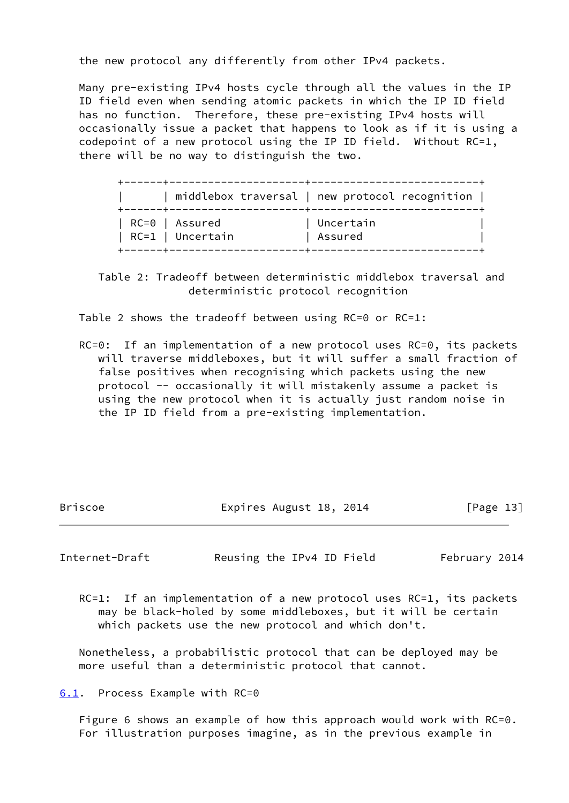the new protocol any differently from other IPv4 packets.

 Many pre-existing IPv4 hosts cycle through all the values in the IP ID field even when sending atomic packets in which the IP ID field has no function. Therefore, these pre-existing IPv4 hosts will occasionally issue a packet that happens to look as if it is using a codepoint of a new protocol using the IP ID field. Without RC=1, there will be no way to distinguish the two.

|                                    | middlebox traversal   new protocol recognition |
|------------------------------------|------------------------------------------------|
| RC=0   Assured<br>RC=1   Uncertain | Uncertain<br>Assured                           |

 Table 2: Tradeoff between deterministic middlebox traversal and deterministic protocol recognition

Table 2 shows the tradeoff between using RC=0 or RC=1:

 RC=0: If an implementation of a new protocol uses RC=0, its packets will traverse middleboxes, but it will suffer a small fraction of false positives when recognising which packets using the new protocol -- occasionally it will mistakenly assume a packet is using the new protocol when it is actually just random noise in the IP ID field from a pre-existing implementation.

Briscoe **Expires August 18, 2014** [Page 13]

Internet-Draft Reusing the IPv4 ID Field February 2014

RC=1: If an implementation of a new protocol uses RC=1, its packets may be black-holed by some middleboxes, but it will be certain which packets use the new protocol and which don't.

 Nonetheless, a probabilistic protocol that can be deployed may be more useful than a deterministic protocol that cannot.

<span id="page-14-0"></span>[6.1](#page-14-0). Process Example with RC=0

 Figure 6 shows an example of how this approach would work with RC=0. For illustration purposes imagine, as in the previous example in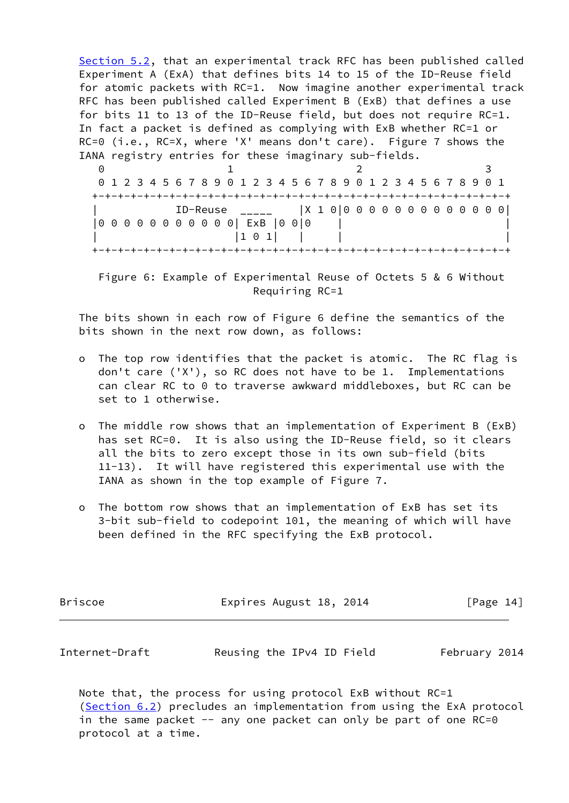[Section 5.2](#page-11-0), that an experimental track RFC has been published called Experiment A (ExA) that defines bits 14 to 15 of the ID-Reuse field for atomic packets with RC=1. Now imagine another experimental track RFC has been published called Experiment B (ExB) that defines a use for bits 11 to 13 of the ID-Reuse field, but does not require RC=1. In fact a packet is defined as complying with ExB whether RC=1 or RC=0 (i.e., RC=X, where 'X' means don't care). Figure 7 shows the IANA registry entries for these imaginary sub-fields.

0 1 2 3 0 1 2 3 4 5 6 7 8 9 0 1 2 3 4 5 6 7 8 9 0 1 2 3 4 5 6 7 8 9 0 1 +-+-+-+-+-+-+-+-+-+-+-+-+-+-+-+-+-+-+-+-+-+-+-+-+-+-+-+-+-+-+-+-+ | ID-Reuse \_\_\_\_\_ |X 1 0|0 0 0 0 0 0 0 0 0 0 0 0 0| |0 0 0 0 0 0 0 0 0 0 0| ExB |0 0|0 | |  $|1 \ 0 \ 1|$  | | +-+-+-+-+-+-+-+-+-+-+-+-+-+-+-+-+-+-+-+-+-+-+-+-+-+-+-+-+-+-+-+-+

 Figure 6: Example of Experimental Reuse of Octets 5 & 6 Without Requiring RC=1

 The bits shown in each row of Figure 6 define the semantics of the bits shown in the next row down, as follows:

- o The top row identifies that the packet is atomic. The RC flag is don't care ('X'), so RC does not have to be 1. Implementations can clear RC to 0 to traverse awkward middleboxes, but RC can be set to 1 otherwise.
- o The middle row shows that an implementation of Experiment B (ExB) has set RC=0. It is also using the ID-Reuse field, so it clears all the bits to zero except those in its own sub-field (bits 11-13). It will have registered this experimental use with the IANA as shown in the top example of Figure 7.
- o The bottom row shows that an implementation of ExB has set its 3-bit sub-field to codepoint 101, the meaning of which will have been defined in the RFC specifying the ExB protocol.

| <b>Briscoe</b> | Expires August 18, 2014 | [Page 14] |
|----------------|-------------------------|-----------|
|                |                         |           |

<span id="page-15-0"></span>

| Internet-Draft | Reusing the IPv4 ID Field | February 2014 |
|----------------|---------------------------|---------------|
|----------------|---------------------------|---------------|

 Note that, the process for using protocol ExB without RC=1 [\(Section 6.2](#page-16-0)) precludes an implementation from using the ExA protocol in the same packet  $-$  any one packet can only be part of one RC=0 protocol at a time.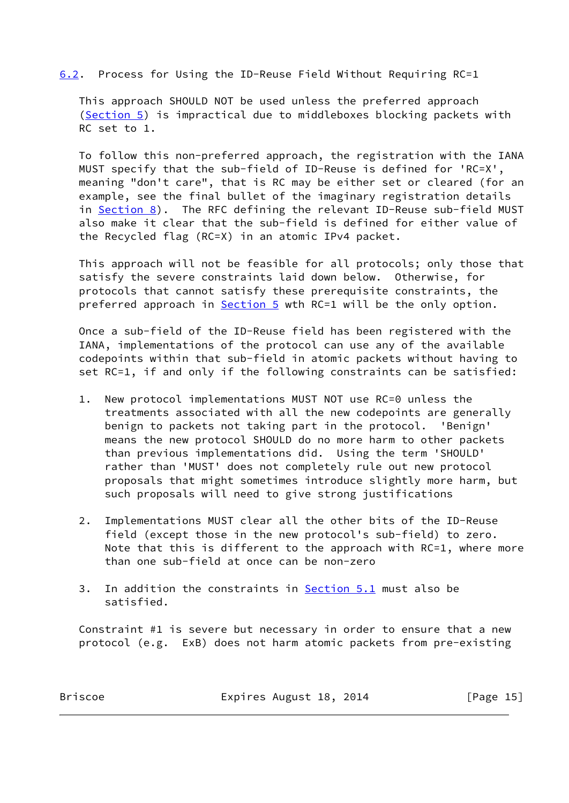### <span id="page-16-0"></span>[6.2](#page-16-0). Process for Using the ID-Reuse Field Without Requiring RC=1

 This approach SHOULD NOT be used unless the preferred approach [\(Section 5](#page-9-0)) is impractical due to middleboxes blocking packets with RC set to 1.

 To follow this non-preferred approach, the registration with the IANA MUST specify that the sub-field of ID-Reuse is defined for 'RC=X', meaning "don't care", that is RC may be either set or cleared (for an example, see the final bullet of the imaginary registration details in [Section 8\)](#page-19-0). The RFC defining the relevant ID-Reuse sub-field MUST also make it clear that the sub-field is defined for either value of the Recycled flag (RC=X) in an atomic IPv4 packet.

 This approach will not be feasible for all protocols; only those that satisfy the severe constraints laid down below. Otherwise, for protocols that cannot satisfy these prerequisite constraints, the preferred approach in [Section 5](#page-9-0) wth RC=1 will be the only option.

 Once a sub-field of the ID-Reuse field has been registered with the IANA, implementations of the protocol can use any of the available codepoints within that sub-field in atomic packets without having to set RC=1, if and only if the following constraints can be satisfied:

- 1. New protocol implementations MUST NOT use RC=0 unless the treatments associated with all the new codepoints are generally benign to packets not taking part in the protocol. 'Benign' means the new protocol SHOULD do no more harm to other packets than previous implementations did. Using the term 'SHOULD' rather than 'MUST' does not completely rule out new protocol proposals that might sometimes introduce slightly more harm, but such proposals will need to give strong justifications
- 2. Implementations MUST clear all the other bits of the ID-Reuse field (except those in the new protocol's sub-field) to zero. Note that this is different to the approach with RC=1, where more than one sub-field at once can be non-zero
- 3. In addition the constraints in [Section 5.1](#page-10-0) must also be satisfied.

 Constraint #1 is severe but necessary in order to ensure that a new protocol (e.g. ExB) does not harm atomic packets from pre-existing

Briscoe **Expires August 18, 2014** [Page 15]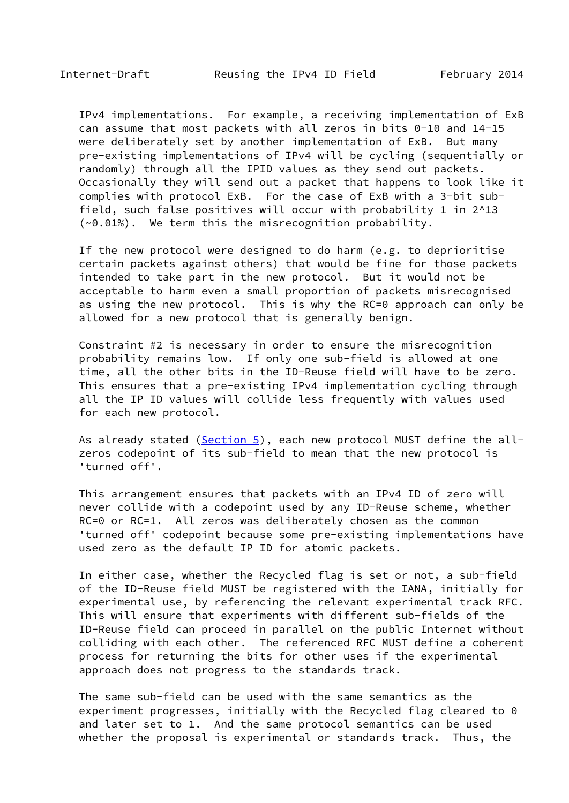IPv4 implementations. For example, a receiving implementation of ExB can assume that most packets with all zeros in bits 0-10 and 14-15 were deliberately set by another implementation of ExB. But many pre-existing implementations of IPv4 will be cycling (sequentially or randomly) through all the IPID values as they send out packets. Occasionally they will send out a packet that happens to look like it complies with protocol ExB. For the case of ExB with a 3-bit sub field, such false positives will occur with probability 1 in 2^13 (~0.01%). We term this the misrecognition probability.

 If the new protocol were designed to do harm (e.g. to deprioritise certain packets against others) that would be fine for those packets intended to take part in the new protocol. But it would not be acceptable to harm even a small proportion of packets misrecognised as using the new protocol. This is why the RC=0 approach can only be allowed for a new protocol that is generally benign.

 Constraint #2 is necessary in order to ensure the misrecognition probability remains low. If only one sub-field is allowed at one time, all the other bits in the ID-Reuse field will have to be zero. This ensures that a pre-existing IPv4 implementation cycling through all the IP ID values will collide less frequently with values used for each new protocol.

As already stated ([Section 5\)](#page-9-0), each new protocol MUST define the all zeros codepoint of its sub-field to mean that the new protocol is 'turned off'.

 This arrangement ensures that packets with an IPv4 ID of zero will never collide with a codepoint used by any ID-Reuse scheme, whether RC=0 or RC=1. All zeros was deliberately chosen as the common 'turned off' codepoint because some pre-existing implementations have used zero as the default IP ID for atomic packets.

 In either case, whether the Recycled flag is set or not, a sub-field of the ID-Reuse field MUST be registered with the IANA, initially for experimental use, by referencing the relevant experimental track RFC. This will ensure that experiments with different sub-fields of the ID-Reuse field can proceed in parallel on the public Internet without colliding with each other. The referenced RFC MUST define a coherent process for returning the bits for other uses if the experimental approach does not progress to the standards track.

 The same sub-field can be used with the same semantics as the experiment progresses, initially with the Recycled flag cleared to 0 and later set to 1. And the same protocol semantics can be used whether the proposal is experimental or standards track. Thus, the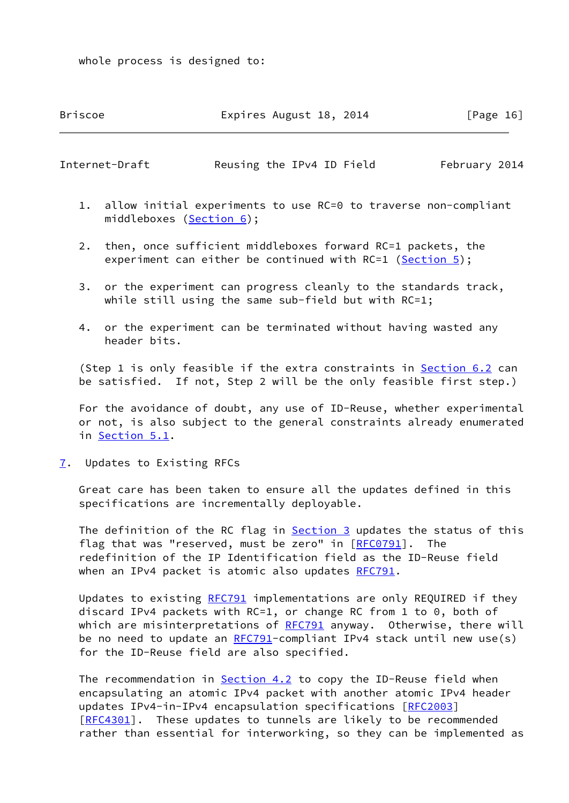whole process is designed to:

Briscoe Expires August 18, 2014 [Page 16]

<span id="page-18-1"></span>Internet-Draft Reusing the IPv4 ID Field February 2014

- 1. allow initial experiments to use RC=0 to traverse non-compliant middleboxes [\(Section 6](#page-13-0));
- 2. then, once sufficient middleboxes forward RC=1 packets, the experiment can either be continued with RC=1 [\(Section 5\)](#page-9-0);
- 3. or the experiment can progress cleanly to the standards track, while still using the same sub-field but with RC=1;
- 4. or the experiment can be terminated without having wasted any header bits.

(Step 1 is only feasible if the extra constraints in **Section 6.2** can be satisfied. If not, Step 2 will be the only feasible first step.)

 For the avoidance of doubt, any use of ID-Reuse, whether experimental or not, is also subject to the general constraints already enumerated in [Section 5.1](#page-10-0).

<span id="page-18-0"></span>[7](#page-18-0). Updates to Existing RFCs

 Great care has been taken to ensure all the updates defined in this specifications are incrementally deployable.

The definition of the RC flag in [Section 3](#page-5-0) updates the status of this flag that was "reserved, must be zero" in  $[RECO 791]$ . The redefinition of the IP Identification field as the ID-Reuse field when an IPv4 packet is atomic also updates [RFC791](https://datatracker.ietf.org/doc/pdf/rfc791).

 Updates to existing [RFC791](https://datatracker.ietf.org/doc/pdf/rfc791) implementations are only REQUIRED if they discard IPv4 packets with RC=1, or change RC from 1 to 0, both of which are misinterpretations of [RFC791](https://datatracker.ietf.org/doc/pdf/rfc791) anyway. Otherwise, there will be no need to update an  $RFC791$ -compliant IPv4 stack until new use(s) for the ID-Reuse field are also specified.

The recommendation in **Section 4.2** to copy the ID-Reuse field when encapsulating an atomic IPv4 packet with another atomic IPv4 header updates IPv4-in-IPv4 encapsulation specifications [[RFC2003](https://datatracker.ietf.org/doc/pdf/rfc2003)] [\[RFC4301](https://datatracker.ietf.org/doc/pdf/rfc4301)]. These updates to tunnels are likely to be recommended rather than essential for interworking, so they can be implemented as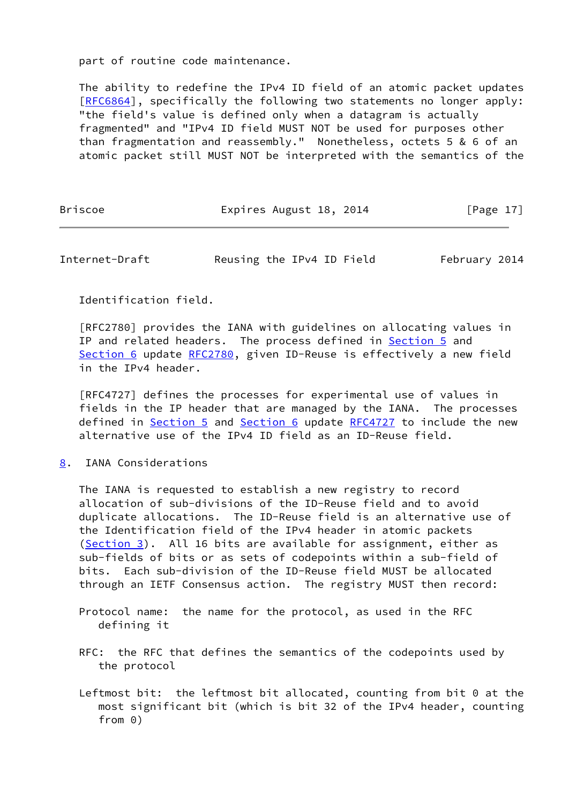part of routine code maintenance.

 The ability to redefine the IPv4 ID field of an atomic packet updates [\[RFC6864](https://datatracker.ietf.org/doc/pdf/rfc6864)], specifically the following two statements no longer apply: "the field's value is defined only when a datagram is actually fragmented" and "IPv4 ID field MUST NOT be used for purposes other than fragmentation and reassembly." Nonetheless, octets 5 & 6 of an atomic packet still MUST NOT be interpreted with the semantics of the

Briscoe **Expires August 18, 2014** [Page 17]

<span id="page-19-1"></span>Internet-Draft Reusing the IPv4 ID Field February 2014

Identification field.

 [RFC2780] provides the IANA with guidelines on allocating values in IP and related headers. The process defined in [Section 5](#page-9-0) and [Section 6](#page-13-0) update [RFC2780](https://datatracker.ietf.org/doc/pdf/rfc2780), given ID-Reuse is effectively a new field in the IPv4 header.

 [RFC4727] defines the processes for experimental use of values in fields in the IP header that are managed by the IANA. The processes defined in [Section 5](#page-9-0) and [Section 6](#page-13-0) update [RFC4727](https://datatracker.ietf.org/doc/pdf/rfc4727) to include the new alternative use of the IPv4 ID field as an ID-Reuse field.

<span id="page-19-0"></span>[8](#page-19-0). IANA Considerations

 The IANA is requested to establish a new registry to record allocation of sub-divisions of the ID-Reuse field and to avoid duplicate allocations. The ID-Reuse field is an alternative use of the Identification field of the IPv4 header in atomic packets [\(Section 3](#page-5-0)). All 16 bits are available for assignment, either as sub-fields of bits or as sets of codepoints within a sub-field of bits. Each sub-division of the ID-Reuse field MUST be allocated through an IETF Consensus action. The registry MUST then record:

- Protocol name: the name for the protocol, as used in the RFC defining it
- RFC: the RFC that defines the semantics of the codepoints used by the protocol
- Leftmost bit: the leftmost bit allocated, counting from bit 0 at the most significant bit (which is bit 32 of the IPv4 header, counting from 0)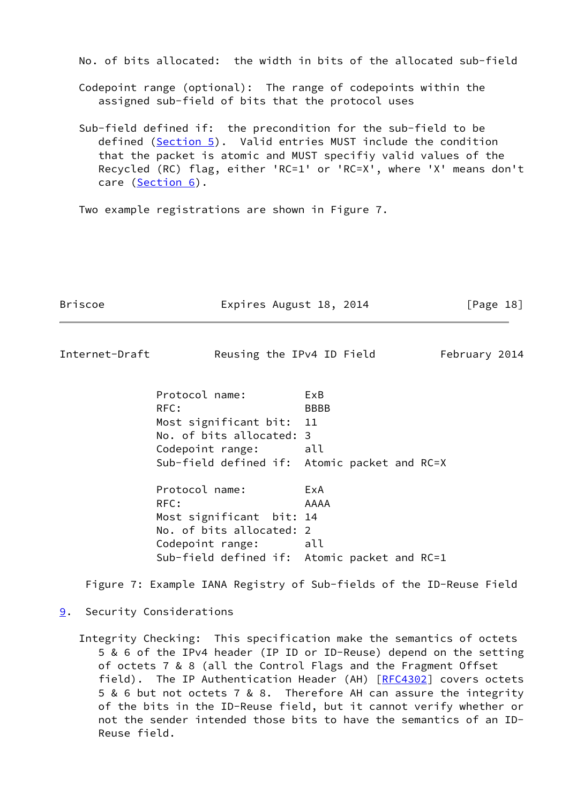No. of bits allocated: the width in bits of the allocated sub-field

 Codepoint range (optional): The range of codepoints within the assigned sub-field of bits that the protocol uses

 Sub-field defined if: the precondition for the sub-field to be defined ([Section 5\)](#page-9-0). Valid entries MUST include the condition that the packet is atomic and MUST specifiy valid values of the Recycled (RC) flag, either 'RC=1' or 'RC=X', where 'X' means don't care [\(Section 6](#page-13-0)).

Two example registrations are shown in Figure 7.

Briscoe Expires August 18, 2014 [Page 18]

<span id="page-20-1"></span>Internet-Draft Reusing the IPv4 ID Field February 2014

 Protocol name: ExB RFC: BBBB Most significant bit: 11 No. of bits allocated: 3 Codepoint range: all Sub-field defined if: Atomic packet and RC=X Protocol name: ExA RFC: AAAA Most significant bit: 14

 No. of bits allocated: 2 Codepoint range: all Sub-field defined if: Atomic packet and RC=1

Figure 7: Example IANA Registry of Sub-fields of the ID-Reuse Field

<span id="page-20-0"></span>[9](#page-20-0). Security Considerations

 Integrity Checking: This specification make the semantics of octets 5 & 6 of the IPv4 header (IP ID or ID-Reuse) depend on the setting of octets 7 & 8 (all the Control Flags and the Fragment Offset field). The IP Authentication Header (AH) [[RFC4302](https://datatracker.ietf.org/doc/pdf/rfc4302)] covers octets 5 & 6 but not octets 7 & 8. Therefore AH can assure the integrity of the bits in the ID-Reuse field, but it cannot verify whether or not the sender intended those bits to have the semantics of an ID- Reuse field.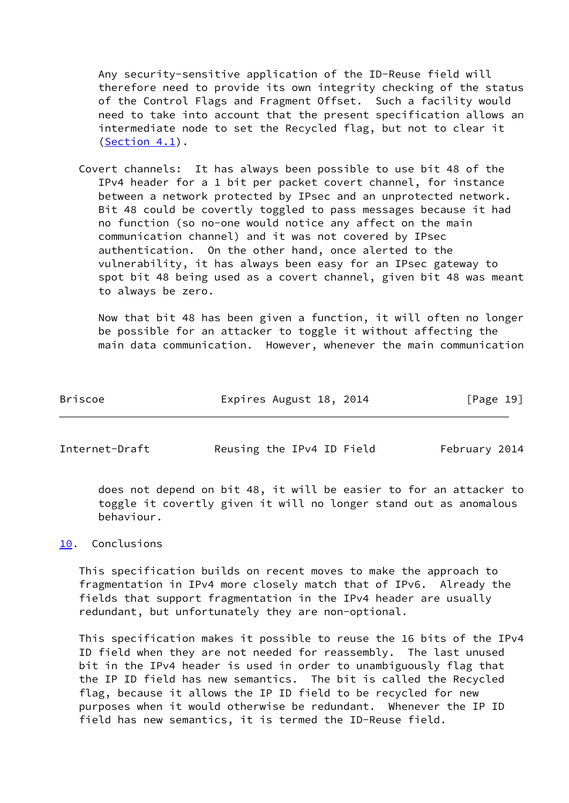Any security-sensitive application of the ID-Reuse field will therefore need to provide its own integrity checking of the status of the Control Flags and Fragment Offset. Such a facility would need to take into account that the present specification allows an intermediate node to set the Recycled flag, but not to clear it ([Section 4.1\)](#page-8-0).

 Covert channels: It has always been possible to use bit 48 of the IPv4 header for a 1 bit per packet covert channel, for instance between a network protected by IPsec and an unprotected network. Bit 48 could be covertly toggled to pass messages because it had no function (so no-one would notice any affect on the main communication channel) and it was not covered by IPsec authentication. On the other hand, once alerted to the vulnerability, it has always been easy for an IPsec gateway to spot bit 48 being used as a covert channel, given bit 48 was meant to always be zero.

 Now that bit 48 has been given a function, it will often no longer be possible for an attacker to toggle it without affecting the main data communication. However, whenever the main communication

| Briscoe | Expires August 18, 2014 | [Page 19] |
|---------|-------------------------|-----------|
|---------|-------------------------|-----------|

<span id="page-21-1"></span>Internet-Draft Reusing the IPv4 ID Field February 2014

 does not depend on bit 48, it will be easier to for an attacker to toggle it covertly given it will no longer stand out as anomalous behaviour.

## <span id="page-21-0"></span>[10.](#page-21-0) Conclusions

 This specification builds on recent moves to make the approach to fragmentation in IPv4 more closely match that of IPv6. Already the fields that support fragmentation in the IPv4 header are usually redundant, but unfortunately they are non-optional.

 This specification makes it possible to reuse the 16 bits of the IPv4 ID field when they are not needed for reassembly. The last unused bit in the IPv4 header is used in order to unambiguously flag that the IP ID field has new semantics. The bit is called the Recycled flag, because it allows the IP ID field to be recycled for new purposes when it would otherwise be redundant. Whenever the IP ID field has new semantics, it is termed the ID-Reuse field.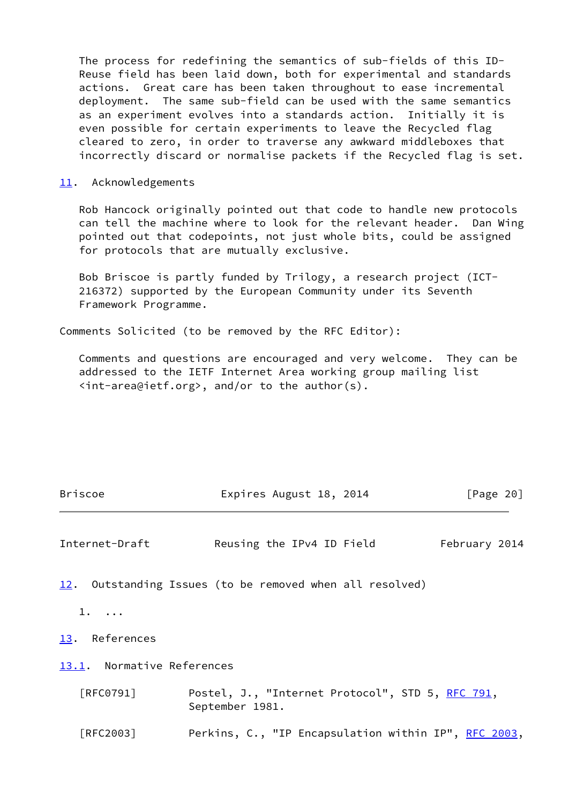The process for redefining the semantics of sub-fields of this ID- Reuse field has been laid down, both for experimental and standards actions. Great care has been taken throughout to ease incremental deployment. The same sub-field can be used with the same semantics as an experiment evolves into a standards action. Initially it is even possible for certain experiments to leave the Recycled flag cleared to zero, in order to traverse any awkward middleboxes that incorrectly discard or normalise packets if the Recycled flag is set.

### <span id="page-22-0"></span>[11.](#page-22-0) Acknowledgements

 Rob Hancock originally pointed out that code to handle new protocols can tell the machine where to look for the relevant header. Dan Wing pointed out that codepoints, not just whole bits, could be assigned for protocols that are mutually exclusive.

 Bob Briscoe is partly funded by Trilogy, a research project (ICT- 216372) supported by the European Community under its Seventh Framework Programme.

Comments Solicited (to be removed by the RFC Editor):

 Comments and questions are encouraged and very welcome. They can be addressed to the IETF Internet Area working group mailing list <int-area@ietf.org>, and/or to the author(s).

<span id="page-22-4"></span><span id="page-22-3"></span><span id="page-22-2"></span><span id="page-22-1"></span>

| <b>Briscoe</b>             | Expires August 18, 2014                                             | [Page 20]     |
|----------------------------|---------------------------------------------------------------------|---------------|
| Internet-Draft             | Reusing the IPv4 ID Field                                           | February 2014 |
|                            | 12. Outstanding Issues (to be removed when all resolved)            |               |
| $1. \ldots$                |                                                                     |               |
| 13. References             |                                                                     |               |
| 13.1. Normative References |                                                                     |               |
| [RFC0791]                  | Postel, J., "Internet Protocol", STD 5, RFC 791,<br>September 1981. |               |
| $\lceil$ RFC2003]          | Perkins, C., "IP Encapsulation within IP", RFC 2003,                |               |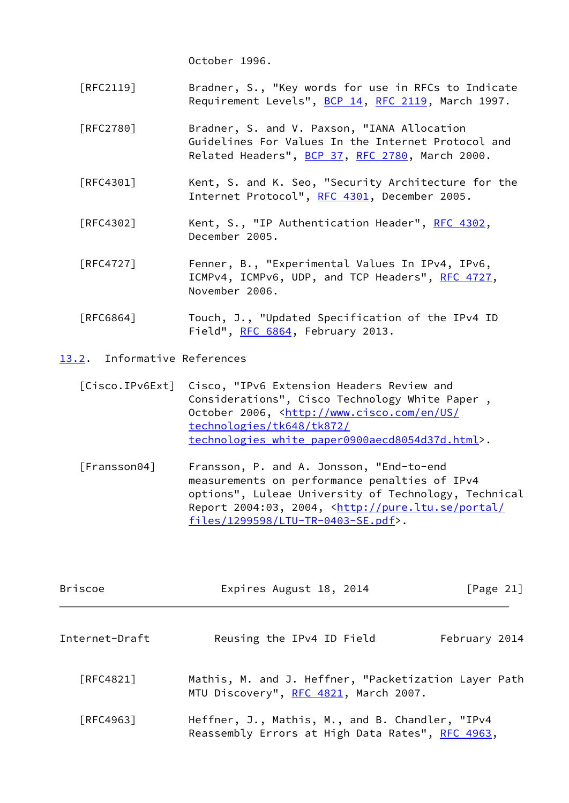October 1996.

- [RFC2119] Bradner, S., "Key words for use in RFCs to Indicate Requirement Levels", [BCP 14](https://datatracker.ietf.org/doc/pdf/bcp14), [RFC 2119](https://datatracker.ietf.org/doc/pdf/rfc2119), March 1997.
- [RFC2780] Bradner, S. and V. Paxson, "IANA Allocation Guidelines For Values In the Internet Protocol and Related Headers", [BCP 37](https://datatracker.ietf.org/doc/pdf/bcp37), [RFC 2780,](https://datatracker.ietf.org/doc/pdf/rfc2780) March 2000.
- [RFC4301] Kent, S. and K. Seo, "Security Architecture for the Internet Protocol", [RFC 4301](https://datatracker.ietf.org/doc/pdf/rfc4301), December 2005.
- [RFC4302] Kent, S., "IP Authentication Header", [RFC 4302,](https://datatracker.ietf.org/doc/pdf/rfc4302) December 2005.
- [RFC4727] Fenner, B., "Experimental Values In IPv4, IPv6, ICMPv4, ICMPv6, UDP, and TCP Headers", [RFC 4727](https://datatracker.ietf.org/doc/pdf/rfc4727), November 2006.
- [RFC6864] Touch, J., "Updated Specification of the IPv4 ID Field", [RFC 6864](https://datatracker.ietf.org/doc/pdf/rfc6864), February 2013.
- <span id="page-23-3"></span><span id="page-23-2"></span><span id="page-23-0"></span>[13.2](#page-23-0). Informative References
	- [Cisco.IPv6Ext] Cisco, "IPv6 Extension Headers Review and Considerations", Cisco Technology White Paper , October 2006, [<http://www.cisco.com/en/US/](http://www.cisco.com/en/US/technologies/tk648/tk872/technologies_white_paper0900aecd8054d37d.html) [technologies/tk648/tk872/](http://www.cisco.com/en/US/technologies/tk648/tk872/technologies_white_paper0900aecd8054d37d.html) [technologies\\_white\\_paper0900aecd8054d37d.html](http://www.cisco.com/en/US/technologies/tk648/tk872/technologies_white_paper0900aecd8054d37d.html)>.
	- [Fransson04] Fransson, P. and A. Jonsson, "End-to-end measurements on performance penalties of IPv4 options", Luleae University of Technology, Technical Report 2004:03, 2004, [<http://pure.ltu.se/portal/](http://pure.ltu.se/portal/files/1299598/LTU-TR-0403-SE.pdf) [files/1299598/LTU-TR-0403-SE.pdf](http://pure.ltu.se/portal/files/1299598/LTU-TR-0403-SE.pdf)>.

<span id="page-23-1"></span>

| <b>Briscoe</b>   | Expires August 18, 2014                                                                             | [Page $21$ ]  |
|------------------|-----------------------------------------------------------------------------------------------------|---------------|
| Internet-Draft   | Reusing the IPv4 ID Field                                                                           | February 2014 |
| [RFC4821]        | Mathis, M. and J. Heffner, "Packetization Layer Path<br>MTU Discovery", RFC 4821, March 2007.       |               |
| <b>FRFC49631</b> | Heffner, J., Mathis, M., and B. Chandler, "IPv4<br>Reassembly Errors at High Data Rates", RFC 4963, |               |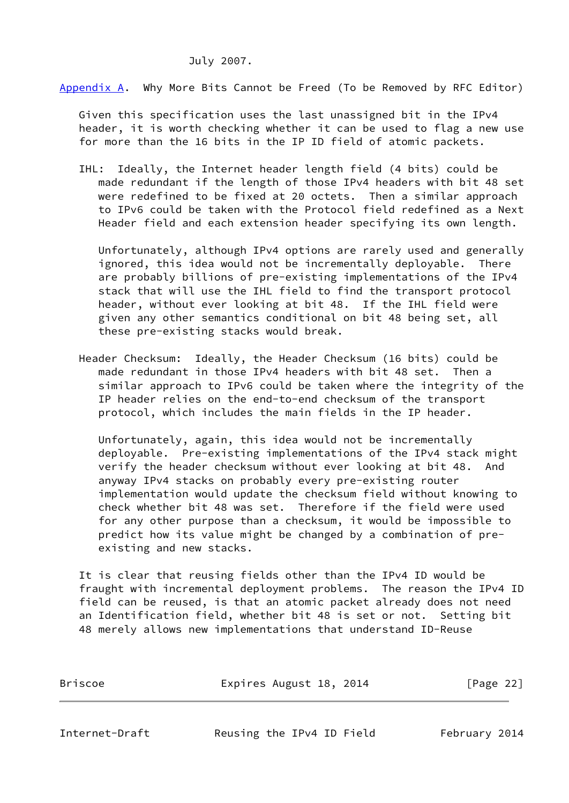### July 2007.

<span id="page-24-0"></span>[Appendix A.](#page-24-0) Why More Bits Cannot be Freed (To be Removed by RFC Editor)

 Given this specification uses the last unassigned bit in the IPv4 header, it is worth checking whether it can be used to flag a new use for more than the 16 bits in the IP ID field of atomic packets.

 IHL: Ideally, the Internet header length field (4 bits) could be made redundant if the length of those IPv4 headers with bit 48 set were redefined to be fixed at 20 octets. Then a similar approach to IPv6 could be taken with the Protocol field redefined as a Next Header field and each extension header specifying its own length.

 Unfortunately, although IPv4 options are rarely used and generally ignored, this idea would not be incrementally deployable. There are probably billions of pre-existing implementations of the IPv4 stack that will use the IHL field to find the transport protocol header, without ever looking at bit 48. If the IHL field were given any other semantics conditional on bit 48 being set, all these pre-existing stacks would break.

 Header Checksum: Ideally, the Header Checksum (16 bits) could be made redundant in those IPv4 headers with bit 48 set. Then a similar approach to IPv6 could be taken where the integrity of the IP header relies on the end-to-end checksum of the transport protocol, which includes the main fields in the IP header.

 Unfortunately, again, this idea would not be incrementally deployable. Pre-existing implementations of the IPv4 stack might verify the header checksum without ever looking at bit 48. And anyway IPv4 stacks on probably every pre-existing router implementation would update the checksum field without knowing to check whether bit 48 was set. Therefore if the field were used for any other purpose than a checksum, it would be impossible to predict how its value might be changed by a combination of pre existing and new stacks.

 It is clear that reusing fields other than the IPv4 ID would be fraught with incremental deployment problems. The reason the IPv4 ID field can be reused, is that an atomic packet already does not need an Identification field, whether bit 48 is set or not. Setting bit 48 merely allows new implementations that understand ID-Reuse

Briscoe Expires August 18, 2014 [Page 22]

<span id="page-24-1"></span>Internet-Draft Reusing the IPv4 ID Field February 2014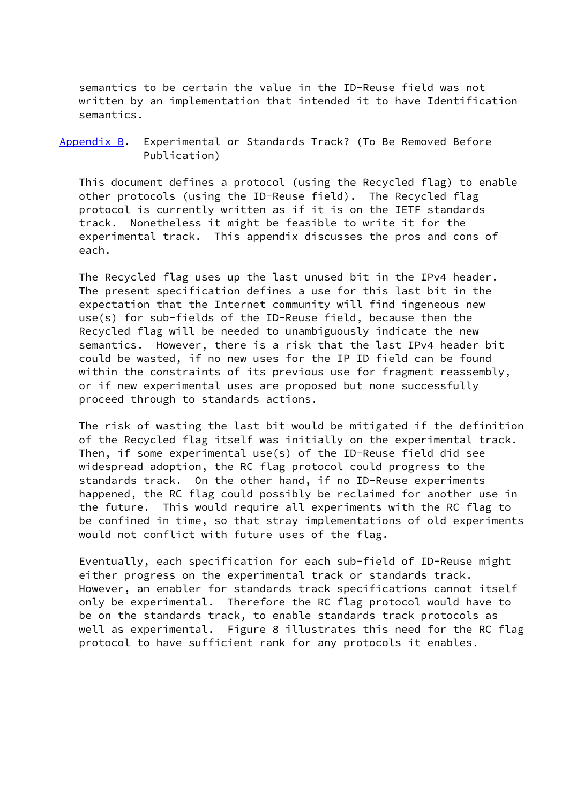semantics to be certain the value in the ID-Reuse field was not written by an implementation that intended it to have Identification semantics.

<span id="page-25-0"></span>[Appendix B.](#page-25-0) Experimental or Standards Track? (To Be Removed Before Publication)

 This document defines a protocol (using the Recycled flag) to enable other protocols (using the ID-Reuse field). The Recycled flag protocol is currently written as if it is on the IETF standards track. Nonetheless it might be feasible to write it for the experimental track. This appendix discusses the pros and cons of each.

 The Recycled flag uses up the last unused bit in the IPv4 header. The present specification defines a use for this last bit in the expectation that the Internet community will find ingeneous new use(s) for sub-fields of the ID-Reuse field, because then the Recycled flag will be needed to unambiguously indicate the new semantics. However, there is a risk that the last IPv4 header bit could be wasted, if no new uses for the IP ID field can be found within the constraints of its previous use for fragment reassembly, or if new experimental uses are proposed but none successfully proceed through to standards actions.

 The risk of wasting the last bit would be mitigated if the definition of the Recycled flag itself was initially on the experimental track. Then, if some experimental use(s) of the ID-Reuse field did see widespread adoption, the RC flag protocol could progress to the standards track. On the other hand, if no ID-Reuse experiments happened, the RC flag could possibly be reclaimed for another use in the future. This would require all experiments with the RC flag to be confined in time, so that stray implementations of old experiments would not conflict with future uses of the flag.

 Eventually, each specification for each sub-field of ID-Reuse might either progress on the experimental track or standards track. However, an enabler for standards track specifications cannot itself only be experimental. Therefore the RC flag protocol would have to be on the standards track, to enable standards track protocols as well as experimental. Figure 8 illustrates this need for the RC flag protocol to have sufficient rank for any protocols it enables.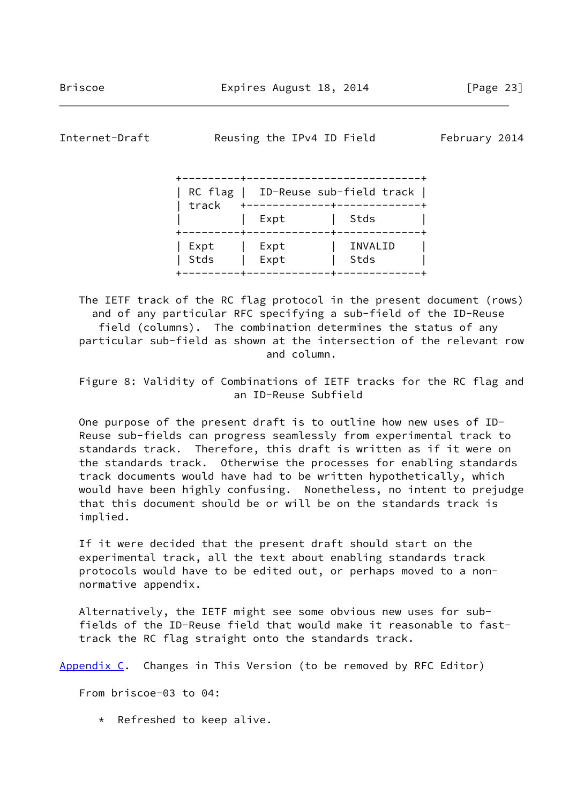<span id="page-26-1"></span>

Internet-Draft Reusing the IPv4 ID Field February 2014

| track        |              | RC $flag$   ID-Reuse sub-field track |
|--------------|--------------|--------------------------------------|
|              | Expt         | Stds                                 |
| Expt<br>Stds | Expt<br>Expt | INVALID<br>Stds                      |

 The IETF track of the RC flag protocol in the present document (rows) and of any particular RFC specifying a sub-field of the ID-Reuse field (columns). The combination determines the status of any particular sub-field as shown at the intersection of the relevant row and column.

 Figure 8: Validity of Combinations of IETF tracks for the RC flag and an ID-Reuse Subfield

 One purpose of the present draft is to outline how new uses of ID- Reuse sub-fields can progress seamlessly from experimental track to standards track. Therefore, this draft is written as if it were on the standards track. Otherwise the processes for enabling standards track documents would have had to be written hypothetically, which would have been highly confusing. Nonetheless, no intent to prejudge that this document should be or will be on the standards track is implied.

 If it were decided that the present draft should start on the experimental track, all the text about enabling standards track protocols would have to be edited out, or perhaps moved to a non normative appendix.

 Alternatively, the IETF might see some obvious new uses for sub fields of the ID-Reuse field that would make it reasonable to fast track the RC flag straight onto the standards track.

<span id="page-26-0"></span>[Appendix C.](#page-26-0) Changes in This Version (to be removed by RFC Editor)

From briscoe-03 to 04:

\* Refreshed to keep alive.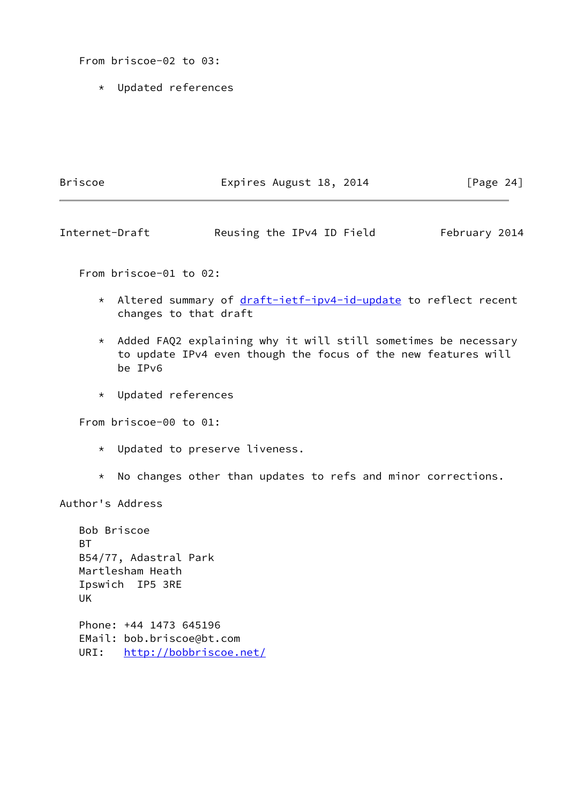From briscoe-02 to 03:

\* Updated references

| Briscoe | Expires August 18, 2014 | [Page $24$ ] |
|---------|-------------------------|--------------|
|         |                         |              |

Internet-Draft Reusing the IPv4 ID Field February 2014

From briscoe-01 to 02:

- \* Altered summary of [draft-ietf-ipv4-id-update](https://datatracker.ietf.org/doc/pdf/draft-ietf-ipv4-id-update) to reflect recent changes to that draft
- \* Added FAQ2 explaining why it will still sometimes be necessary to update IPv4 even though the focus of the new features will be IPv6
- \* Updated references

From briscoe-00 to 01:

- \* Updated to preserve liveness.
- \* No changes other than updates to refs and minor corrections.

Author's Address

|      | Bob Briscoe               |
|------|---------------------------|
| RТ   |                           |
|      | B54/77, Adastral Park     |
|      | Martlesham Heath          |
|      | Ipswich IP5 3RE           |
| UK   |                           |
|      |                           |
|      | Phone: +44 1473 645196    |
|      | EMail: bob.briscoe@bt.com |
| URI: | http://bobbriscoe.net/    |